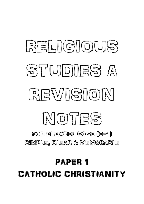# PAPER 1 CATHOLIC CHRISTIANITY

FOR EDEXCEL GCSE (9-1) SIMPLE, CLEAR & MEMORABLE

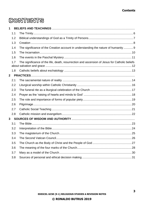# **CONTENTS**

| 1              |     |                                                                                               |
|----------------|-----|-----------------------------------------------------------------------------------------------|
|                | 1.1 |                                                                                               |
|                | 1.2 |                                                                                               |
|                | 1.3 |                                                                                               |
|                | 1.4 | The significance of the Creation account in understanding the nature of humanity  9           |
|                | 1.5 |                                                                                               |
|                | 1.6 |                                                                                               |
|                | 1.7 | The significance of the life, death, resurrection and ascension of Jesus for Catholic beliefs |
|                | 1.8 |                                                                                               |
| $\overline{2}$ |     |                                                                                               |
|                | 2.1 |                                                                                               |
|                | 2.2 |                                                                                               |
|                | 2.3 |                                                                                               |
|                | 2.4 |                                                                                               |
|                | 2.5 |                                                                                               |
|                | 2.6 |                                                                                               |
|                | 2.7 |                                                                                               |
|                | 2.8 |                                                                                               |
| 3              |     |                                                                                               |
|                | 3.1 |                                                                                               |
|                | 3.2 |                                                                                               |
|                | 3.3 |                                                                                               |
|                | 3.4 |                                                                                               |
|                | 3.5 |                                                                                               |
|                | 3.6 |                                                                                               |
|                | 3.7 |                                                                                               |
|                | 3.8 |                                                                                               |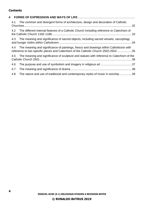### **Contents**

| 4.1 | The common and divergent forms of architecture, design and decoration of Catholic                                                                                            |  |
|-----|------------------------------------------------------------------------------------------------------------------------------------------------------------------------------|--|
| 4.2 | The different internal features of a Catholic Church including reference to Catechism of                                                                                     |  |
| 4.3 | The meaning and significance of sacred objects, including sacred vessels, sarcophagi,                                                                                        |  |
| 4.4 | The meaning and significance of paintings, fresco and drawings within Catholicism with<br>reference to two specific pieces and Catechism of the Catholic Church 2502-2503 35 |  |
| 4.5 | The meaning and significance of sculpture and statues with reference to Catechism of the                                                                                     |  |
| 4.6 |                                                                                                                                                                              |  |
| 4.7 |                                                                                                                                                                              |  |
| 4.8 | The nature and use of traditional and contemporary styles of music in worship 39                                                                                             |  |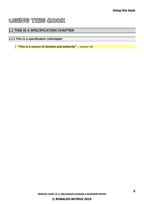# **USING THIS BOOK**

# **1.1 THIS IS A SPECIFICATION CHAPTER**

# **1.1.1 This is a specification subchapter**

**"This is a source of wisdom and authority"** *– source ref.*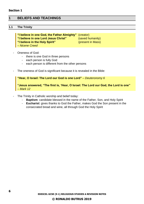# <span id="page-5-0"></span>**1 BELIEFS AND TEACHINGS**

#### <span id="page-5-1"></span>**1.1 The Trinity**

| "I believe in one God, the Father Almighty" (creator) |                   |
|-------------------------------------------------------|-------------------|
| "I believe in one Lord Jesus Christ"                  | (saved humanity)  |
| "I believe in the Holy Spirit"                        | (present in Mass) |
| – Nicene Creed                                        |                   |

#### Oneness of God:

- there is one God in three persons
- each person is fully God
- each person is different from the other persons
- The oneness of God is significant because it is revealed in the Bible:



- The Trinity in Catholic worship and belief today:
	- **Baptism**: candidate blessed in the name of the Father, Son, and Holy Spirit
	- **Eucharist**: gives thanks to God the Father, makes God the Son present in the consecrated bread and wine, all through God the Holy Spirit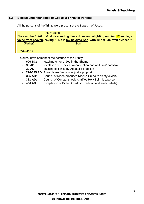#### <span id="page-6-0"></span>**1.2 Biblical understandings of God as a Trinity of Persons**

- All the persons of the Trinity were present at the Baptism of Jesus:

| (Holy Spirit) |                                                                                      |  |  |  |
|---------------|--------------------------------------------------------------------------------------|--|--|--|
|               | "he saw the Spirit of God descending like a dove, and alighting on him; 17 and lo, a |  |  |  |
|               | voice from heaven, saying, 'This is my beloved Son, with whom I am well pleased'"    |  |  |  |
| (Father)      | (Son)                                                                                |  |  |  |
|               |                                                                                      |  |  |  |
| $-$ Matthew 3 |                                                                                      |  |  |  |

- Historical development of the doctrine of the Trinity:
	- **600 BC:** teaching on one God in the Shema
	- **30 AD:** revelation of Trinity at Annunciation and at Jesus' baptism
	- **32 AD:** passing of Trinity by Apostolic Tradition
	- **270-325 AD:** Arius claims Jesus was just a prophet
	- 325 AD: Council of Nicea produces Nicene Creed to clarify divinity
	- **381 AD:** Council of Constantinople clarifies Holy Spirit is a person
	- **400 AD:** compilation of Bible (Apostolic Tradition and early beliefs)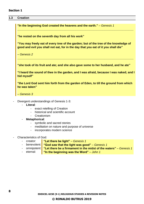#### **Section 1**

#### <span id="page-7-0"></span>**1.3 Creation**

**"In the beginning God created the heavens and the earth."** *– Genesis 1*

**"he rested on the seventh day from all his work"**

**"You may freely eat of every tree of the garden; but of the tree of the knowledge of good and evil you shall not eat, for in the day that you eat of it you shall die"**

**\_\_\_\_\_\_\_\_\_\_\_\_\_\_\_\_\_\_\_\_\_\_\_\_\_\_\_\_\_\_\_\_\_\_\_\_\_\_\_\_\_\_\_\_\_\_\_\_\_\_\_\_\_\_\_\_\_\_\_\_\_\_\_\_\_\_\_\_\_\_\_\_**

*– Genesis 2*

**"she took of its fruit and ate; and she also gave some to her husband, and he ate"**

**\_\_\_\_\_\_\_\_\_\_\_\_\_\_\_\_\_\_\_\_\_\_\_\_\_\_\_\_\_\_\_\_\_\_\_\_\_\_\_\_\_\_\_\_\_\_\_\_\_\_\_\_\_\_\_\_\_\_\_\_\_\_\_\_\_\_\_\_\_\_\_\_**

**"I heard the sound of thee in the garden, and I was afraid, because I was naked; and I hid myself"**

**"the Lord God sent him forth from the garden of Eden, to till the ground from which he was taken"**

*– Genesis 3*

- Divergent understandings of Genesis 1-3:
	- **Literal**:
		- exact retelling of Creation
		- historical and scientific account
		- **Creationism**
	- **Metaphorical**:
		- symbolic and sacred stories
		- meditation on nature and purpose of universe
		- incorporates modern science
- Characteristics of God:
	- creator: **"Let there be light"** *– Genesis 1*
	- benevolent: **"God saw that the light was good"** Genesis 1
	- omnipotent: **"Let there be a firmament in the midst of the waters"** Genesis 1
	- eternal: **"In the beginning was the Word"** *– John 1*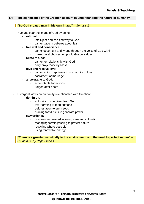#### <span id="page-8-0"></span>**1.4 The significance of the Creation account in understanding the nature of humanity**

#### **"So God created man in his own image"** *– Genesis 1*

- Humans bear the image of God by being:
	- **rational**:
		- intelligent and can find way to God
		- can engage in debates about faith
	- **free will and conscience**:
		- can choose right and wrong through the voice of God within
		- make moral choices to uphold Gospel values
	- **relate to God**:
		- can enter relationship with God
		- daily prayer/weekly Mass
	- **give and receive love**:
		- can only find happiness in community of love
		- sacrament of marriage
	- **answerable to God**:
		- accountable for actions
		- judged after death
- Divergent views on humanity's relationship with Creation:
	- **dominion**:
		- authority to rule given from God
		- over-farming to feed humans
		- deforestation to suit needs
		- burning fossil fuels to generate power
	- **stewardship**:
		- dominion expressed in loving care and cultivation
		- managing farming/fishing to protect nature
		- recycling where possible
		- using renewable energy

**"There is a growing sensitivity to the environment and the need to protect nature"** *– Laudato Si, by Pope Francis*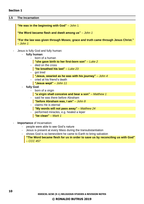<span id="page-9-0"></span>**1.5 The Incarnation**

**"He was in the beginning with God"** *–* John 1

**"the Word became flesh and dwelt among us"** *– John 1*

**"For the law was given through Moses; grace and truth came through Jesus Christ."** *– John 1*

- Jesus is fully God and fully human:
	- **fully human**:
		- born of a human
			- **"she gave birth to her first-born son"** *– Luke 2*
		- died on the cross
		- **"he breathed his last"** *– Luke 23*
		- got tired
			- **"Jesus, wearied as he was with his journey"** *– John 4*
		- cried at his friend's death
			- **"Jesus wept"** *– John 11*
	- **fully God**:
		- born of a virgin
			- **"a virgin shall conceive and bear a son"** *– Matthew 1*
		- said he was there before Abraham
		- **"before Abraham was, I am"** *– John 8*
		- claims He is eternal
			- **"My words will not pass away"** *– Matthew 24*
		- performed miracles, e.g. healed a leper
			- **"be clean"** *– Mark 1*
- **Importance** of Incarnation:
	- people were able to see God's nature
	- Jesus is present at every Mass during the transubstantiation
	- shows God is so benevolent he came to Earth to bring salvation
		- **"The Word became flesh for us in order to save us by reconciling us with God"** *– CCC 457*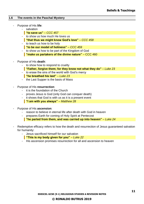#### <span id="page-10-0"></span>**1.6 The events in the Paschal Mystery**

- Purpose of His **life**:
	- salvation
		- **"to save us"** *– CCC 457*
	- to show us how much He loves us **"that thus we might know God's love"** *– CCC 458*
	- to teach us how to be holy **"to be our model of holiness"** *– CCC 459*
	- to show us how to be part of the Kingdom of God **"make us partakers of the divine nature"** *–* CCC 460
- Purpose of His **death**:
	- to show how to respond to cruelty
	- **"Father, forgive them; for they know not what they do"** *– Luke 23*
	- to erase the sins of the world with God's mercy **"he breathed his last"** *– Luke 23*
	- the Last Supper is the basis of Mass
- Purpose of His **resurrection**:
	- it is the foundation of the Church
	- proves Jesus is God (only God can conquer death)
	- it shows that God is with us as it is a present event
	- **"I am with you always"** *– Matthew 28*
- Purpose of His **ascension**:
	- reason to believe in eternal life after death with God in heaven
	- prepares Earth for coming of Holy Spirit at Pentecost **"he parted from them, and was carried up into heaven"** *– Luke 24*
- Redemptive efficacy refers to how the death and resurrection of Jesus guaranteed salvation for humanity:
	- Jesus sacrificed himself for our salvation
		- **"This is my body given for you"** *– Luke 22*
	- His ascension promises resurrection for all and ascension to heaven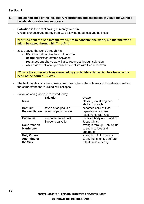#### **Section 1**

#### <span id="page-11-0"></span>**1.7 The significance of the life, death, resurrection and ascension of Jesus for Catholic beliefs about salvation and grace**

- **Salvation** is the act of saving humanity from sin.
- **Grace** is undeserved mercy from God allowing goodness and holiness.

#### **"For God sent the Son into the world, not to condemn the world, but that the world might be saved through him"** *– John 3*

- Jesus saved the world through His:
	- **life:** if He did not live, he could not die
	- **death:** crucifixion offered salvation
	- **resurrection:** shows we will also resurrect through salvation
	- **ascension:** salvation promises eternal life with God in heaven

**"This is the stone which was rejected by you builders, but which has become the head of the corner"** *– Acts 4*

- The fact that Jesus is the 'cornerstone' means he is the sole reason for salvation; without the cornerstone the 'building' will collapse.
- Salvation and grace are received today:

| <b>Salvation</b>      | Grace                        |
|-----------------------|------------------------------|
|                       | blessings to strengthen      |
|                       | ability to preach            |
| saved of original sin | becomes child of God         |
| saved of personal sin | repentance restores          |
|                       | relationship with God        |
| re-enactment of Last  | receives body and blood of   |
| Supper's salvation    | <b>Jesus Christ</b>          |
|                       | strength through Holy Spirit |
|                       | strength to love and         |
|                       | procreate                    |
|                       | strength to fulfil ministry  |
|                       | strengthens, unites sufferer |
|                       | with Jesus' suffering        |
|                       |                              |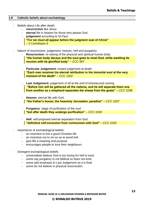#### <span id="page-12-0"></span>**1.8 Catholic beliefs about eschatology**

- Beliefs about Life after death:
	- **resurrection** like Jesus
	- **eternal** life in heaven for those who please God
	- judgement according to St Paul: **"For we must all appear before the judgment seat of Christ"** *– 2 Corinthians 5*
- Nature of resurrection, judgement, heaven, hell and purgatory:
	- **Resurrection:** re-raising of the physical and spiritual human body **"the human body decays and the soul goes to meet God, while awaiting its reunion with its glorified body"** *– CCC 997*
	- Particular Judgement: instant judgement at death **"Each man receives his eternal retribution in his immortal soul at the very moment of his death"** *– CCC 1022*
	- **Last Judgement:** judgement of all at the end of time/second coming **"Before him will be gathered all the nations, and he will separate them one from another as a shepherd separates the sheep from the goats"** *– CCC 1038*
	- **Heaven: eternal life with God "the Father's house, the heavenly Jerusalem, paradise"** *– CCC 1027*
	- **Purgatory:** stage of purification of the soul **"but after death they undergo purification"** *– CCC 1030*
	- Hell: self-proposed eternal separation from God **"definitive self-exclusion from communion with God"** *– CCC 1033*
- Importance of eschatological beliefs:
	- an incentive to live a good Christian life
	- an incentive not to sin so as to avoid hell
	- give life a meaning and purpose
	- encourages people to love their neighbours
- Divergent eschatological beliefs:
	- universalists believe God is too loving for hell to exist
	- some say purgatory is not biblical so does not exist
	- some add emphasis to Last Judgement as it is final
	- some do not believe in physical resurrection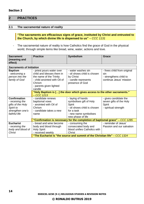# <span id="page-13-0"></span>**2 PRACTICES**

#### <span id="page-13-1"></span>**2.1 The sacramental nature of reality**

#### **"The sacraments are efficacious signs of grace, instituted by Christ and entrusted to the Church, by which divine life is dispensed to us"** *– CCC 1131*

- The sacramental nature of reality is how Catholics find the grace of God in the physical world, through simple items like bread, wine, water, actions and love.

| <b>Sacrament</b><br>(meaning and<br>effect)                                                                   | <b>Practice</b>                                                                                                                                                  | <b>Symbolism</b>                                                                                                                                                                                                                         | <b>Grace</b>                                                                            |  |
|---------------------------------------------------------------------------------------------------------------|------------------------------------------------------------------------------------------------------------------------------------------------------------------|------------------------------------------------------------------------------------------------------------------------------------------------------------------------------------------------------------------------------------------|-----------------------------------------------------------------------------------------|--|
| <b>Sacraments of Initiation</b>                                                                               |                                                                                                                                                                  |                                                                                                                                                                                                                                          |                                                                                         |  |
| <b>Baptism</b><br>- welcoming a<br>person into the<br>family of God                                           | - priest pours water over<br>child and blesses them in<br>the name of the Trinity<br>- child anointed with Oil of<br>Chrism<br>- parents given lighted<br>candle | - water washes sin<br>- oil shows child is chosen<br>by Christ<br>- candle represents<br>presence of God                                                                                                                                 | - frees child from original<br>sin<br>- strengthens child to<br>continue Jesus' mission |  |
|                                                                                                               | "Holy Baptism is [] the door which gives access to the other sacraments."<br>$-$ CCC 1213                                                                        |                                                                                                                                                                                                                                          |                                                                                         |  |
| <b>Confirmation</b><br>- receiving the<br>gifts of the Holy<br>Spirit to<br>strengthen one's<br>faithful life | - candidate renews<br>baptismal vows<br>- anointed with Oil of<br>Chrism<br>- candidate takes a new<br>name                                                      | - laying of hands<br>symbolises gift of Holy<br><b>Spirit</b><br>- oil shows child is chosen<br>for a task<br>- new name symbolises<br>new phase of life<br>"Confirmation is necessary for the completion of baptismal grace" - CCC 1285 | - gives candidate the<br>seven gifts of the Holy<br>Spirit<br>- spiritual strength      |  |
| <b>Eucharist</b>                                                                                              | - bread and wine become                                                                                                                                          | - consuming the                                                                                                                                                                                                                          | - reminder of Jesus'                                                                    |  |
| - receiving the<br>body and blood of<br><b>Christ</b>                                                         | body and blood through<br><b>Holy Spirit</b><br>- received weekly                                                                                                | consecrated body and<br>blood unifies Catholics with<br><b>Christ</b><br>"The Eucharist is "the source and summit of the Christian life" – CCC 1324                                                                                      | Passion and our salvation                                                               |  |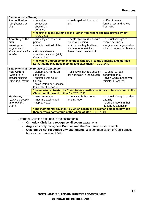| <b>Sacraments of Healing</b>                  |                                                                             |                                                                              |                             |  |  |
|-----------------------------------------------|-----------------------------------------------------------------------------|------------------------------------------------------------------------------|-----------------------------|--|--|
| <b>Reconciliation</b>                         | - contrition                                                                | - heals spiritual illness of                                                 | - offer of mercy,           |  |  |
| - forgiveness of                              | - confession                                                                | sin                                                                          | forgiveness and advice      |  |  |
| sins                                          | - absolution                                                                |                                                                              | from God                    |  |  |
|                                               | - penance                                                                   |                                                                              |                             |  |  |
|                                               |                                                                             | "the first step in returning to the Father from whom one has strayed by sin" |                             |  |  |
|                                               | – CCC 1423                                                                  |                                                                              |                             |  |  |
| Anointing of the                              | - priest lays hands on ill                                                  | - heals physical illness with                                                | - spiritual strength to     |  |  |
| sick                                          | person                                                                      | spiritual blessing                                                           | overcome illness            |  |  |
| - healing and                                 | - anointed with oil of the                                                  | - oil shows they had been                                                    | - forgiveness is granted to |  |  |
| forgiveness of                                | sick                                                                        | chosen for a task they                                                       | allow them to enter heaven  |  |  |
| sins to prepare for                           | - sins are absolved                                                         | have come to an end of                                                       |                             |  |  |
| afterlife                                     | - receives viaticum (Holy                                                   |                                                                              |                             |  |  |
|                                               | Communion)                                                                  |                                                                              |                             |  |  |
|                                               | "the whole Church commends those who are ill to the suffering and glorified |                                                                              |                             |  |  |
|                                               | Lord, that he may raise them up and save them" $-$ CCC 1499                 |                                                                              |                             |  |  |
| <b>Sacraments at the Service of Communion</b> |                                                                             |                                                                              |                             |  |  |
| <b>Holy Orders</b>                            | - bishop lays hands on                                                      | - oil shows they are chosen                                                  | - strength to lead          |  |  |
| - receipt of a                                | candidate                                                                   | for a mission in the Church                                                  | congregation(s)             |  |  |
|                                               |                                                                             |                                                                              |                             |  |  |
| distinct mission                              | - anointed with Oil of                                                      |                                                                              | - given God's authority to  |  |  |

|                                                                                                                                        | within the Church | Chrism<br>- given Paten and Chalice<br>to minister Eucharist |                                                                                   | minister Eucharist                                                                               |
|----------------------------------------------------------------------------------------------------------------------------------------|-------------------|--------------------------------------------------------------|-----------------------------------------------------------------------------------|--------------------------------------------------------------------------------------------------|
|                                                                                                                                        |                   | Church until the end of time" - CCC 1536                     | "the mission entrusted by Christ to his apostles continues to be exercised in the |                                                                                                  |
| <b>Matrimony</b><br>- joining a couple<br>as one in the<br>Church                                                                      |                   | - vows are made<br>- rings are exchanged<br>- Nuptial Mass   | - rings symbolise never-<br>ending love                                           | - spiritual strength to raise<br>a family<br>- God is present in their<br>life-long relationship |
| "The matrimonial covenant, by which a man and a woman establish between<br>themselves a partnership of the whole of life" $-$ CCC 1601 |                   |                                                              |                                                                                   |                                                                                                  |

- Divergent Christian attitudes to the sacraments:

- **Orthodox Christians recognise all seven** sacraments
- **Anglicans only recognise Baptism and the Eucharist** as sacraments
- **Quakers do not recognise any sacraments** as a communication of God's grace, but as an expression of faith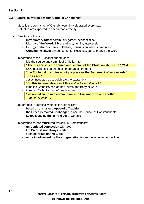#### <span id="page-15-0"></span>**2.2 Liturgical worship within Catholic Christianity**

- Mass is the central act of Catholic worship, celebrated every day.
- Catholics are expected to attend mass weekly.
- Structure of Mass:
	- **Introductory Rites:** community gather, penitential act
	- **Liturgy of the Word:** Bible readings, homily, intercession
	- **Liturgy of the Eucharist:** offertory, transubstantiation, communion
	- **Concluding Rites:** announcements, blessings, call to preach the Word
- Importance of the Eucharist during Mass:
	- it is the source and summit of Christian life
		- **"The Eucharist is the source and summit of the Christian life"** *– CCC 1324*
	- CCC describes it as the most important sacrament **"the Eucharist occupies a unique place as the Sacrament of sacraments"**  *– CCC 1211*
	- Jesus instructed us to celebrate the sacrament **"Do this in remembrance of this me"** *– 1 Corinthians 11*
	- it makes Catholics part of the Church, the Body of Christ
	- it makes Catholics part of one another **"we are taken up into communion with Him and with one another"**  *– Lumen Gentium 7*
- Importance of liturgical worship in Catholicism:
	- based on unchanged **Apostolic Tradition**
	- **the Creed is recited unchanged**, since the Council of Constantinople
	- **keeps Mass as the central act** of worship
- Importance of less structured worship in Protestantism:
	- **unrestricted connection** with God
	- the **Creed is not always recited**
	- stronger **focus on the Bible**
	- more involvement by the congregation is seen as a better connection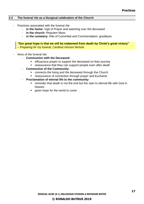#### <span id="page-16-0"></span>**2.3 The funeral rite as a liturgical celebration of the Church**

- Practices associated with the funeral rite:
	- **in the home:** Vigil of Prayer and watching over the deceased
	- **in the church:** Requiem Mass
	- **in the cemetery:** Rite of Committal and Commendation, goodbyes

**"Our great hope is that we will be redeemed from death by Christ's great victory"** *– Preparing for my funeral, Cardinal Vincent Nichols*

- Aims of the funeral rite:
	- **Communion with the Deceased:**
		- **EXE** efficacious prayer to support the deceased on their journey
		- reassurance that they can support people even after death
	- **Communion of the Community:** 
		- connects the living and the deceased through the Church
		- reassurance of connection through prayer and Eucharist
	- Proclamation of eternal life to the community:
		- reminder that death is not the end but the start to eternal life with God in heaven
		- gives hope for the world to come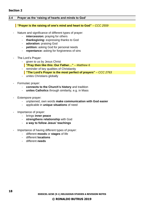#### **Section 2**

#### <span id="page-17-0"></span>**2.4 Prayer as the 'raising of hearts and minds to God'**

#### **"Prayer is the raising of one's mind and heart to God"** *– CCC 2559*

- Nature and significance of different types of prayer:
	- **intercession:** praying for others
	- **thanksgiving:** expressing thanks to God
	- **adoration:** praising God
	- **petition:** asking God for personal needs
	- **repentance:** asking for forgiveness of sins
- The Lord's Prayer:
	- given to us by Jesus Christ
		- **"Pray then like this: Our Father…"** *– Matthew 6*
	- reminder of key qualities of Christianity
		- **"The Lord's Prayer is the most perfect of prayers"** *– CCC 2763*
	- unites Christians globally
- Formulaic prayer:
	- connects to the Church's history and tradition
	- **unites Catholics** through similarity, e.g. in Mass
- Extempore prayer:
	- unplanned, own words **make communication with God easier**
	- applicable in **unique situations** of need
- Importance of prayer:
	- brings **inner peace**
	- **strengthens relationship** with God
	- **a way to follow Jesus' teachings**
- Importance of having different types of prayer:
	- different **moods** or **stages** of life
	- different **locations**
	- different **needs**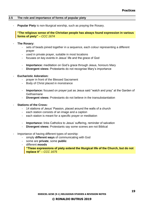#### <span id="page-18-0"></span>**2.5 The role and importance of forms of popular piety**

**Popular Piety** is non-liturgical worship, such as praying the Rosary.

**"The religious sense of the Christian people has always found expression in various forms of piety"** *– CCC 1674*

- **The Rosary:**
	- sets of beads joined together in a sequence, each colour representing a different prayer
	- used in private prayer, suitable in most locations
	- focuses on key events in Jesus' life and the grace of God
	- **Importance:** meditation on God's grace through Jesus, honours Mary
	- **Divergent views:** Protestants do not recognise Mary's importance
- **Eucharistic Adoration:**
	- prayer in front of the Blessed Sacrament
	- Body of Christ placed in monstrance
	- **Importance:** focused on prayer just as Jesus said "watch and pray" at the Garden of **Gethsemane**
	- **Divergent views:** Protestants do not believe in the transubstantiation
- **Stations of the Cross:**
	- 14 stations of Jesus' Passion, placed around the walls of a church
	- each station consists of an image and a caption
	- each station is meant for a specific prayer or meditation
	- **Importance:** links Catholics to Jesus' suffering, reminder of salvation
	- **Divergent views:** Protestants say some scenes are not Biblical
- Importance of having different types of worship:
	- simply **different ways** of communicating with God
	- some are **private**, some **public**
	- different **moods**

**"These expressions of piety extend the liturgical life of the Church, but do not replace it"** *– CCC 1675*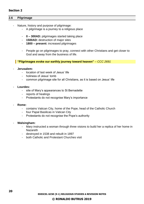#### **Section 2**

#### <span id="page-19-0"></span>**2.6 Pilgrimage**

- Nature, history and purpose of pilgrimage:
	- A pilgrimage is a journey to a religious place
	- **0 – 300AD:** pilgrimages started taking place
	- **1500AD:** destruction of major sites
	- **1800 – present:** increased pilgrimages
	- People go on pilgrimages to pray, connect with other Christians and get closer to God and away from the business of life.

**"Pilgrimages evoke our earthly journey toward heaven"** *– CCC 2691*

#### - **Jerusalem:**

- location of last week of Jesus' life
- holiness of Jesus' tomb
- common pilgrimage site for all Christians, as it is based on Jesus' life
- Lourdes:
	- site of Mary's appearances to St Bernadette
	- reports of healings
	- Protestants do not recognise Mary's importance
- **Rome:**
	- contains Vatican City, home of the Pope, head of the Catholic Church
	- four Papal Basilicas in Vatican City
	- Protestants do not recognise the Pope's authority
- **Walsingham:**
	- Mary instructed a woman through three visions to build her a replica of her home in Nazareth
	- destroyed in 1538 and rebuilt in 1897
	- both Catholic and Protestant Churches visit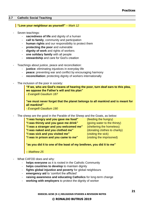#### <span id="page-20-0"></span>**2.7 Catholic Social Teaching**

#### **"Love your neighbour as yourself"** *– Mark 12*

- Seven teachings:
	- **sacredness of life** and dignity of a human
	- **call to family**, community and participation
	- **human rights** and our responsibility to protect them
	- **protecting the poor** and vulnerable
	- **dignity of work** and rights of workers
	- one solidary family with all people
	- **stewardship** and care for God's creation
- Teachings about justice, peace and reconciliation:
	- justice: eliminating injustices in everyday life
	- **peace:** preventing war and conflict by encouraging harmony
	- reconciliation: protecting dignity of workers internationally
- The inclusion of the poor in society:

**"If we, who are God's means of hearing the poor, turn deaf ears to this plea, we oppose the Father's will and his plan"**

*- Evangelli Gaudium 187*

**"we must never forget that the planet belongs to all mankind and is meant for all mankind"** 

*- Evangelli Gaudium 190*

The sheep are the good in the Parable of the Sheep and the Goats, as below:

**"I was hungry and you gave me food"** (feeding the hungry)

**"I was sick and you visited me"** (visiting the sick)

**"I was thirsty and you gave me drink"** (giving water to the thirsty) **"I was a stranger and you welcomed me"** (sheltering the homeless) **"I was naked and you clothed me"** (donating clothes to charity) **"I was in prison and you came to me"** (visiting the imprisoned)

**"as you did it to one of the least of my brethren, you did it to me"**

*– Matthew 25*

- What CAFOD does and why:
	- helps everyone as it is rooted in the Catholic Community
	- helps countries to develop to maintain dignity
	- **fights global injustice and poverty** for global neighbours
	- emergency aid to 'comfort the afflicted'
	- raising awareness and educating Catholics for long-term change
	- working with employers to protect the dignity of worker

**EDEXCEL GCSE (9-1) RELIGIOUS STUDIES A REVISION NOTES**

### **© RONALDO BUTRUS 2019**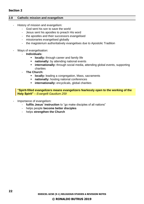#### **Section 2**

#### <span id="page-21-0"></span>**2.8 Catholic mission and evangelism**

- History of mission and evangelism:
	- God sent his son to save the world
	- Jesus sent his apostles to preach His word
	- the apostles and their successors evangelised
	- missionaries evangelised globally
	- the magisterium authoritatively evangelises due to Apostolic Tradition
	- Ways of evangelisation:
		- **Individuals:**
			- **locally:** through career and family life
			- **EXEDENT IN A THE PROTHER 19 IN A THE PROPERTY ISSUES: national events**
			- **EXTERNATION IDED** internationally: through social media, attending global events, supporting charities
			- **The Church:**
				- **locally:** leading a congregation, Mass, sacraments
				- **nationally:** hosting national conferences
				- **EXECUTE:** internationally: encyclicals, global charities

**"Spirit-filled evangelizers means evangelizers fearlessly open to the working of the Holy Spirit"** *– Evangelli Gaudium 259*

- Importance of evangelism:
	- **fulfils Jesus' instruction** to "go make disciples of all nations"
	- helps people **become better disciples**
	- helps **strengthen the Church**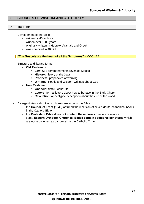# <span id="page-22-0"></span>**3 SOURCES OF WISDOM AND AUTHORITY**

#### <span id="page-22-1"></span>**3.1 The Bible**

- Development of the Bible:
	- written by 40 authors
	- written over 1500 years
	- originally written in Hebrew, Aramaic and Greek
	- was compiled in 400 CE

#### **"The Gospels are the heart of all the Scriptures"** *– CCC 125*

- Structure and literary forms:
	- **Old Testament:**
		- **Law:** 613 commandments revealed Moses
		- **EXECT:** History: history of the Jews
		- **Prophets:** prophecies of warning
		- **Writings:** Poetic and Wisdom writings about God
	- **New Testament:**
		- **Gospels:** detail Jesus' life
		- **EXTERN:** formal letters about how to behave in the Early Church
		- **Revelation:** apocalyptic description about the end of the world
- Divergent views about which books are to be in the Bible:
	- the **Council of Trent (1545)** affirmed the inclusion of seven deuterocanonical books in the Catholic Bible
	- the **Protestant Bible does not contain these books** due to 'irrelevance'
	- some **Eastern Orthodox Churches' Bibles contain additional scriptures** which are not recognised as canonical by the Catholic Church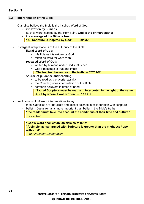#### <span id="page-23-0"></span>**3.2 Interpretation of the Bible**

- Catholics believe the Bible is the inspired Word of God:
	- it is **written by humans**
	- as they were inspired by the Holy Spirit, **God is the primary author**
	- the **message of the Bible is true**
		- **"All Scripture is inspired by God"** *– 2 Timothy*
- Divergent interpretations of the authority of the Bible:
	- **literal Word of God:**
		- infallible as it is written by God
		- taken as word for word truth
	- **revealed Word of God:**
		- written by humans under God's influence
		- God's message is true and intact
			- **"The inspired books teach the truth"** *– CCC 107*
	- **source of guidance and teaching:**
		- to be read as a prayerful activity
		- the Church guides interpretation of the Bible
		- comforts believers in times of need **"Sacred Scripture must be read and interpreted in the light of the same Spirit by whom it was written"** *– CCC 111*
- Implications of different interpretations today:
	- most Catholics are liberalists and accept science in collaboration with scripture
	- belief in Jesus remains more important than belief in the Bible's truths **"the reader must take into account the conditions of their time and culture"** *– CCC 110*

#### **"God's Word shall establish articles of faith"**

**"A simple layman armed with Scripture is greater than the mightiest Pope without it"** 

*– Martin Luther (Lutheranism)*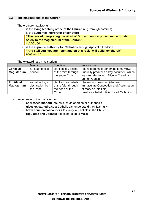#### <span id="page-24-0"></span>**3.3 The magisterium of the Church**

- The ordinary magisterium:
	- is the **living teaching office of the Church** (e.g. through homilies)
	- is the **authentic interpreter of scripture**
		- **"The task of interpreting the Word of God authentically has been entrusted solely to the Magisterium of the Church"** *- CCC 100*
	- is the **supreme authority for Catholics** through Apostolic Tradition **"And I tell you, you are Peter, and on this rock I will build my church"** *– Matthew 16*

#### The extraordinary magisterium:

|                    | Meaning        | <b>Function</b>       | Importance                                  |
|--------------------|----------------|-----------------------|---------------------------------------------|
| <b>Conciliar</b>   | an ecumenical  | clarifies key beliefs | - considers multi-denominational views      |
| <b>Magisterium</b> | council        | of the faith through  | - usually produces a key document which     |
|                    |                | the entire Church     | we can refer to, e.g. Nicene Creed or       |
|                    |                |                       | Lumen Gentium                               |
| <b>Pontifical</b>  | ex cathedra; a | clarifies key beliefs | - have only been two (declared              |
| <b>Magisterium</b> | declaration by | of the faith through  | Immaculate Conception and Assumption        |
|                    | the Pope       | the head of the       | of Mary as infallible)                      |
|                    |                | Church                | - makes a belief official for all Catholics |

- Importance of the magisterium:
	- **addresses modern issue**s such as abortion or euthanasia
	- **gives ex cathedra** so a Catholic can understand their faith fully
	- holds **ecumenical councils** to clarify key beliefs in the Church
	- **regulates and updates** the celebration of Mass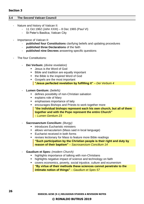#### **Section 3**

#### <span id="page-25-0"></span>**3.4 The Second Vatican Council**

- Nature and history of Vatican II:
	- 11 Oct 1962 (John XXIII) 8 Dec 1965 (Paul VI)
	- St Peter's Basilica, Vatican City
- Importance of Vatican II:
	- **published four Constitutions** clarifying beliefs and updating procedures
	- **published three Declarations** of the faith
	- **published nine Decrees** answering specific questions
- The four Constitutions:
	- **Dei Verbum:** *(divine revelation)*
		- Jesus is the Word of God
		- Bible and tradition are equally important
		- the Bible is the inspired Word of God
		- Gospels are the most important **"Jesus perfected revelation by fulfilling it"** *– Dei Verbum 4*
	- **Lumen Gentium:** *(beliefs)*
		- **E** defines possibility of non-Christian salvation
		- explains role of Mary
		- emphasises importance of laity
		- encourages Bishops and Priests to work together more **"the individual bishops represent each his own church, but all of them together and with the Pope represent the entire Church"** *– Lumen Gentium 23*
	- **Sacrosanctum Concilium:** *(liturgy)*
		- introduces Eucharistic ministers
		- allows vernacularism (Mass said in local language)
		- Eucharist received in both forms
		- revises lectionary for Mass to feature more Bible readings **"Such participation by the Christian people is their right and duty by reason of their baptism"** *– Sacrosanctum Concilium 14*
	- **Gaudium et Spes:** *(modern Church)*
		- highlights importance of talking with non-Christians
		- highlights negative impact of science and technology on faith
		- covers economics, poverty, social injustice, culture and ecumenism **"By virtue of their methods these sciences cannot penetrate to the intimate notion of things"** *– Gaudium et Spes 57*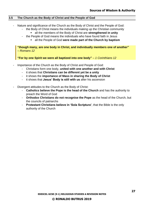#### <span id="page-26-0"></span>**3.5 The Church as the Body of Christ and the People of God**

- Nature and significance of the Church as the Body of Christ and the People of God:
	- the Body of Christ means the individuals making up the Christian community
		- all the members of the Body of Christ are **strengthened in unity**
	- the People of God means the individuals who have found faith in Jesus
		- all the People of God were made part of the Church by baptism

**"though many, are one body in Christ, and individually members one of another"** *– Romans 12*

**"For by one Spirit we were all baptized into one body"** *– 1 Corinthians 12*

- Importance of the Church as the Body of Christ and People of God:
	- Christians form one body, **united with one another and with Christ**
	- it shows that **Christians can be different yet be a unity**
	- it shows the **importance of Mass in sharing the Body of Christ**
	- it shows that **Jesus' Body is still with us** after his ascension
- Divergent attitudes to the Church as the Body of Christ:
	- Catholics believe the Pope is the head of the Church and has the authority to preach the Word of God
	- **Orthodox Christians do not recognise the Pope** as the head of the Church, but the councils of patriarchs
	- **Protestant Christians believe in 'Sola Scriptura'**, that the Bible is the only authority of the Church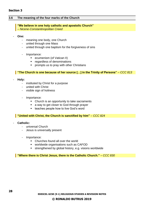#### <span id="page-27-0"></span>**3.6 The meaning of the four marks of the Church**

#### **"We believe in one holy catholic and apostolic Church"**

*– Nicene-Constantinopolitan Creed*

- **One:**
	- meaning one body, one Church
	- united through one Mass
	- united through one baptism for the forgiveness of sins
	- Importance:
		- ecumenism (of Vatican II)
		- regardless of denominations
		- prompts us to pray with other Christians

#### **"The Church is one because of her source […] in the Trinity of Persons"** *– CCC 813*

- **Holy:**
	- instituted by Christ for a purpose
	- united with Christ
	- visible sign of holiness
	- Importance:
		- Church is an opportunity to take sacraments
		- a way to get closer to God through prayer
		- teaches people how to live God's word

#### **"United with Christ, the Church is sanctified by him"** *– CCC 824*

- **Catholic:**
	- universal Church
	- Jesus is universally present
	- Importance:
		- Churches found all over the world
		- worldwide organisations such as CAFOD
		- strengthened by global history, e.g. visions worldwide

**"Where there is Christ Jesus, there is the Catholic Church."** *– CCC 830*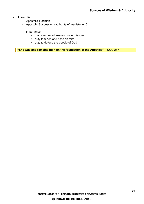#### - **Apostolic:**

- Apostolic Tradition
- Apostolic Succession (authority of magisterium)
- Importance:
	- magisterium addresses modern issues
	- duty to teach and pass on faith
	- duty to defend the people of God

**"She was and remains built on the foundation of the Apostles"** *– CCC 857*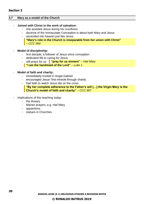#### <span id="page-29-0"></span>**3.7 Mary as a model of the Church**

#### - **Joined with Christ in the work of salvation:**

- she assisted Jesus during his crucifixion
- doctrine of the Immaculate Conception is about both Mary and Jesus
- ascended into heaven just like Jesus
	- **"Mary's role in the Church is inseparable from her union with Christ"**  *– CCC 964*

#### - **Model of discipleship:**

- first disciple; a follower of Jesus since conception
- dedicated life to caring for Jesus
- still prays for us <mark>'"pray for us sinners"  *Hail Mary*</mark>
	- **"I am the handmaid of the Lord"** *– Luke 1*

#### - **Model of faith and charity:**

- immediately trusted in Angel Gabriel
- encouraged Jesus' first miracle through charity
- had faith to watch Jesus die on the cross **"By her complete adherence to the Father's will […] the Virgin Mary is the Church's model of faith and charity"** *– CCC 967*
- Implications of this teaching today:
	- the Rosary
	- Marian prayers, e.g. Hail Mary
	- apparitions
	- statues in Churches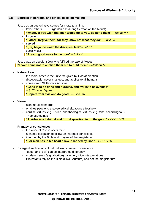#### <span id="page-30-0"></span>**3.8 Sources of personal and ethical decision making**

- Jesus as an authoritative source for moral teaching:
	- loved others (golden rule during Sermon on the Mount)
	- **"whatever you wish that men would do to you, do so to them"** *– Matthew 7* - forgave
	- **"Father, forgive them; for they know not what they do"** *– Luke 23* - served
	- **"[He] began to wash the disciples' feet"** *– John 13*
	- socially just **"Preach good news to the poor"** *– Luke 4*
- Jesus was an obedient Jew who fulfilled the Law of Moses: **"I have come not to abolish them but to fulfil them"** *– Matthew 5*
- **Natural Law:**
	- the moral order to the universe given by God at creation
	- discoverable, never changes, and applies to all humans
	- comes from St Thomas Aquinas
		- **"Good is to be done and pursued, and evil is to be avoided"** *– St Thomas Aquinas* **"Depart from evil, and do good"** *– Psalm 37*
- **Virtue:**
	- high moral standards
	- enables people to analyse ethical situations effectively
	- cardinal virtues, e.g. justice, and theological virtues, e.g. faith, according to St Thomas Aquinas

**"A virtue is a habitual and firm disposition to do the good"** *– CCC 1803*

- **Primacy of conscience:**
	- the voice of God in one's mind
	- a sacred obligation to follow an informed conscience
	- informed by the Bible and prayers of the magisterium
		- **"For man has in his heart a law inscribed by God"** *– CCC 1776*
- Divergent implications of natural law, virtue and conscience:
	- "good" and "evil" can be interpreted differently
	- modern issues (e.g. abortion) have very wide interpretations
	- Protestants rely on the Bible (Sola Scriptura) and not the magisterium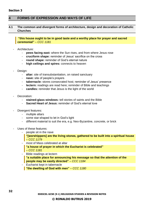# <span id="page-31-0"></span>**4 FORMS OF EXPRESSION AND WAYS OF LIFE**

#### <span id="page-31-1"></span>**4.1 The common and divergent forms of architecture, design and decoration of Catholic Churches**

**"this house ought to be in good taste and a worthy place for prayer and sacred ceremonial"** *– CCC 1181*

#### Architecture:

- **pews facing east:** where the Sun rises, and from where Jesus rose
- **cruciform shape:** reminder of Jesus' sacrifice on the cross
- **round shape:** reminder of God's eternal nature
- **high ceilings and spires:** connects to heaven
- Design:
	- **altar:** site of transubstantiation, on raised sanctuary
	- **nave:** site of people's prayers
	- **tabernacle:** stores consecrated host; reminder of Jesus' presence
	- **lectern:** readings are read here; reminder of Bible and teachings
	- **candles:** reminder that Jesus is the light of the world
- Decoration:
	- **stained-glass windows:** tell stories of saints and the Bible
	- **Sacred Heart of Jesus: reminder of God's eternal love**
- Divergent features:
	- multiple altars
	- some star-shaped to let in God's light
	- different material to suit the era, e.g. Neo-Byzantine, concrete, or brick
- Uses of these features:
	- people sit in the nave

#### **"[worshippers] are the living stones, gathered to be built into a spiritual house**  *– CCC 1179*

- most of Mass celebrated at altar **"a house of prayer in which the Eucharist is celebrated"**  *– CCC 1181*
- Bible readings at lectern **"a suitable place for announcing his message so that the attention of the people may be easily directed"** *– CCC 1184*
- Eucharist kept in tabernacle **"the dwelling of God with men"** *– CCC 1180*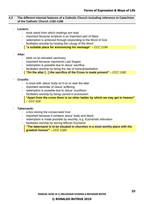#### <span id="page-32-0"></span>**4.2 The different internal features of a Catholic Church including reference to Catechism of the Catholic Church 1182-1186**

#### Lectern:

- book stand from which readings are read
- important because scripture is an important part of Mass
- redemption is achieved through responding to the Word of God
- facilitates worship by hosting the Liturgy of the Word **"a suitable place for announcing his message"** *– CCC 1184*

#### - **Altar:**

- table on an elevated sanctuary
- important because represents Last Supper
- redemption is possible due to Jesus' sacrifice
- facilitates worship by being the site of transubstantiation

**"On the altar […] the sacrifice of the Cross is made present"** *– CCC 1182*

#### - **Crucifix:**

- a cross with Jesus' body on it on or near the altar
- important reminder of Jesus' suffering
- redemption is possible due to Jesus' crucifixion
- facilitates worship by being carried in procession **"Apart from the cross there is no other ladder by which we may get to heaven"**  *– CCC 618*

#### - **Tabernacle:**

- a box storing the consecrated host
- important because it contains Jesus' body and blood
- redemption is made possible by worship, e.g. Eucharistic Adoration
- facilitates worship by storing leftover Eucharist

**"The tabernacle is to be situated in churches in a most worthy place with the greatest honour"** *– CCC 1183*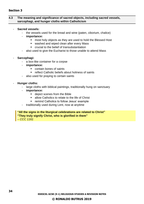#### <span id="page-33-0"></span>**4.3 The meaning and significance of sacred objects, including sacred vessels, sarcophagi, and hunger cloths within Catholicism**

- **Sacred vessels:**
	- the vessels used for the bread and wine (paten, ciborium, chalice)
	- **importance:**
		- most holy objects as they are used to hold the Blessed Host
		- washed and wiped clean after every Mass
		- crucial to the belief of transubstantiation
	- also used to give the Eucharist to those unable to attend Mass
- **Sarcophagi:**
	- a box-like container for a corpse
	- **importance:**
		- contain bones of saints
		- reflect Catholic beliefs about holiness of saints
	- also used for praying to certain saints
- **Hunger cloths:**
	- large cloths with biblical paintings, traditionally hung on sanctuary
	- **importance:**
		- depict scenes from the Bible
		- allow Catholics to relate to the life of Christ
		- remind Catholics to follow Jesus' example
	- traditionally used during Lent, now at anytime

**"All the signs in the liturgical celebrations are related to Christ" "They truly signify Christ, who is glorified in them"** *– CCC 1161*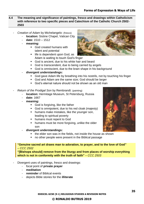#### <span id="page-34-0"></span>**4.4 The meaning and significance of paintings, fresco and drawings within Catholicism with reference to two specific pieces and Catechism of the Catholic Church 2502- 2503**

- *Creation of Adam* by Michelangelo: (fresco)
	- **location:** Sistine Chapel, Vatican City
	- **date:** 1510 1512
	- **meaning:**
		- God created humans with talent and potential
		- life is dependent upon God, as Adam is waiting to touch God's finger
		- God is ancient, due to his white hair and beard
		- God is transcendent, due to being carried by angels
		- God is omniscient, due to the brain shape in his background
	- **divergent understandings:**
		- God gave Adam life by breathing into his nostrils, not by touching his finger
		- God and Adam are the same size; God should be larger
		- God's eternal nature should not be shown as an old man
- *Return of the Prodigal Son* by Rembrandt: (painting)
	- **location:** Hermitage Museum, St Petersburg, Russia
	- **date:** 1667
	- **meaning:**
		- God is forgiving, like the father
		- God is omnipotent, due to his red cloak (majesty)
		- **E** humans make mistakes, like the younger son, leading to spiritual poverty
		- humans must repent to God
		- **E** humans must be more forgiving, unlike the older son
	- **divergent understandings:**
		- the elder son was in the fields, not inside the house as shown
		- no other people were present in the Biblical passage

**"Genuine sacred art draws man to adoration, to prayer, and to the love of God"** *– CCC 2502*

**"[Bishops should] remove from the liturgy and from places of worship everything which is not in conformity with the truth of faith"** *– CCC 2503*

- Divergent uses of paintings, fresco and drawings:
	- focal point of **private prayer**
	- **meditation**
	- **reminder** of Biblical events
	- depicts Bible stories for the **illiterate**



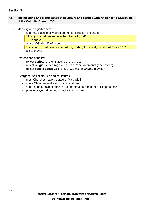### **Section 3**

#### <span id="page-35-0"></span>**4.5 The meaning and significance of sculpture and statues with reference to Catechism of the Catholic Church 2501**

- Meaning and significance:
	- God has occasionally directed the construction of statues
	- **"And you shall make two cherubim of gold"**
	- *– Exodus 25*
	- a use of God's gift of talent **"art is a form of practical wisdom, uniting knowledge and skill"** *– CCC 2501*
	- aid to prayer
- Expressions of belief:
	- reflect **scripture**, e.g. Stations of the Cross
	- reflect **religious messages**, e.g. Ten Commandments (obey these)
	- reflect **beliefs about God**, e.g. *Christ the Redeemer* (saviour)
- Divergent uses of statues and sculptures:
	- most Churches have a statue of Mary within
	- some Churches make a crib at Christmas
	- some people have statues in their home as a reminder of His presence
	- private prayer, at home, school and churches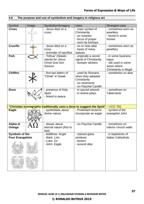# <span id="page-36-0"></span>**4.6 The purpose and use of symbolism and imagery in religious art**

<span id="page-36-1"></span>

| Symbol                  | Image | Symbolism/Imagery                                                                 | <b>Uses</b>                           | Divergent uses                   |
|-------------------------|-------|-----------------------------------------------------------------------------------|---------------------------------------|----------------------------------|
| <b>Cross</b>            |       | - Jesus died on a                                                                 | - main symbol of                      | - sometimes worn as              |
|                         |       | <b>Cross</b>                                                                      | Christianity                          | jewellery                        |
|                         |       |                                                                                   | - on rosaries                         | - found in some                  |
|                         |       |                                                                                   | - focus of prayer                     | homes                            |
| <b>Crucifix</b>         |       |                                                                                   | - worn by bishops                     |                                  |
|                         |       | - Jesus died on a<br><b>Cross</b>                                                 | - on or near altar<br>- basis of many | - sometimes worn as<br>jewellery |
|                         |       | - reminder of sacrifice                                                           | statues                               |                                  |
| <b>Fish</b>             |       | - "Icthus" (Greek)                                                                | - originally a secret                 | - in some business               |
|                         |       | stands for Jesus                                                                  | signal of Christianity                | logos                            |
|                         |       | <b>Christ God Son</b>                                                             | - bumper stickers                     | - still used in some             |
|                         |       | Saviour                                                                           |                                       | areas where                      |
|                         |       |                                                                                   |                                       | Christianity is illegal          |
| <b>ChiRho</b>           |       | - first two letters of                                                            | - used by Romans                      | - sometimes on altar             |
|                         |       | "Christ" in Greek                                                                 | when they adopted                     |                                  |
|                         |       |                                                                                   | Christianity                          |                                  |
|                         |       |                                                                                   | - on vestments<br>- on Paschal Candle |                                  |
| <b>Dove</b>             |       | - presence of Holy                                                                | - in sacred artwork                   | - sometimes on                   |
|                         |       | Spirit                                                                            | - in drama plays                      | <b>Tabernacle</b>                |
|                         |       | - linked to peace                                                                 |                                       |                                  |
|                         |       |                                                                                   |                                       |                                  |
|                         |       |                                                                                   |                                       |                                  |
|                         |       | "Christian iconography traditionally uses a dove to suggest the Spirit" - CCC 701 |                                       |                                  |
| <b>Eagle</b>            |       | - symbolises Jesus'                                                               | - Protestant lecterns                 | - symbol of the                  |
|                         |       | divine nature                                                                     | incorporate an eagle                  | evangelist John                  |
|                         |       |                                                                                   |                                       |                                  |
| Alpha et                |       | - shows Jesus'                                                                    | - on Paschal Candle                   | - sometimes on                   |
| Omega                   |       | eternal nature (first to                                                          |                                       | interior church walls            |
|                         |       | last)                                                                             |                                       |                                  |
| <b>Symbols of the</b>   |       | - Matthew: Angel                                                                  | - stained glass                       | - in baptistries of              |
| <b>Four Evangelists</b> |       | - Mark: Lion                                                                      | windows                               | <b>Italian Cathedrals</b>        |
|                         |       | - Luke: Ox                                                                        | - lectern                             |                                  |
|                         |       | - John: Eagle                                                                     | - around altar                        |                                  |
|                         |       |                                                                                   |                                       |                                  |
|                         |       |                                                                                   |                                       |                                  |
|                         |       |                                                                                   |                                       |                                  |
|                         |       |                                                                                   |                                       |                                  |
|                         |       |                                                                                   |                                       |                                  |
|                         |       |                                                                                   |                                       |                                  |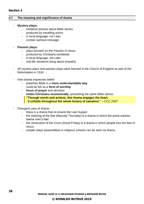#### **4.7 The meaning and significance of drama**

#### - **Mystery plays:**

- medieval dramas about Bible stories
- produced by travelling actors
- in local language, not Latin
- contain spiritual message

#### - **Passion plays:**

- plays focused on the Passion of Jesus
- produced by Christians worldwide
- in local language, not Latin
- real-life situations bring about empathy
- All mystery plays and passion plays were banned in the Church of England as part of the Reformation in 1534.
- How drama expresses belief:
	- preaches Bible in a **more understandable way**
	- could be felt as a **form of worship**
	- **focus of prayer** and devotion
	- **unites Christians ecumenically**, presenting the same Bible stories **"Through words and actions, this drama engages the heart. It unfolds throughout the whole history of salvation."** *– CCC 2567*
- Divergent uses of drama:
	- Mass is a drama that re-enacts the Last Supper
	- the washing of the feet (Maundy Thursday) is a drama in which the priest washes twelve men's feet
	- the Veneration of the Cross (Good Friday) is a drama in which people kiss the feet of Jesus
	- simpler plays (assemblies) in religious schools can be seen as drama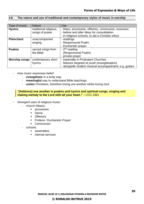#### <span id="page-38-0"></span>**4.8 The nature and use of traditional and contemporary styles of music in worship**

| Type of music        | <b>Nature</b>         | Use                                                    |
|----------------------|-----------------------|--------------------------------------------------------|
| <b>Hymns</b>         | traditional religious | - Mass: procession, offertory, communion, recession    |
|                      | songs of praise       | - before and after Mass for consolidation              |
|                      |                       | - in religious schools, to aid a Christian ethos       |
| <b>Plainchant</b>    | unaccompanied         | - readings                                             |
|                      | singing               | - Responsorial Psalm                                   |
|                      |                       | - Eucharistic prayer                                   |
| <b>Psalms</b>        | sacred songs from     | - $2nd$ reading                                        |
|                      | the Bible             | (Responsorial Psalm)                                   |
|                      |                       | - private prayer                                       |
| <b>Worship songs</b> | contemporary short    | - especially in Protestant Churches                    |
|                      | hymns                 | - Masses targeted at youth (evangelisation)            |
|                      |                       | - alongside modern musical accompaniment, e.g. guitars |

- How music expresses belief:
	- **evangelises** in a lively way
	- **meaningful** way to understand Bible teachings
	- **unites** Christians, therefore loving one another whilst loving God

#### **"[Address] one another in psalms and hymns and spiritual songs, singing and making melody to the Lord with all your heart."** *– CCC 2461*

- Divergent uses of religious music:
	- church (Mass):
		- **•** procession
		- Gloria
		- Offertory
		- Preface / Eucharistic Prayer
		- Communion
	- schools:
		- assemblies
		- internal services